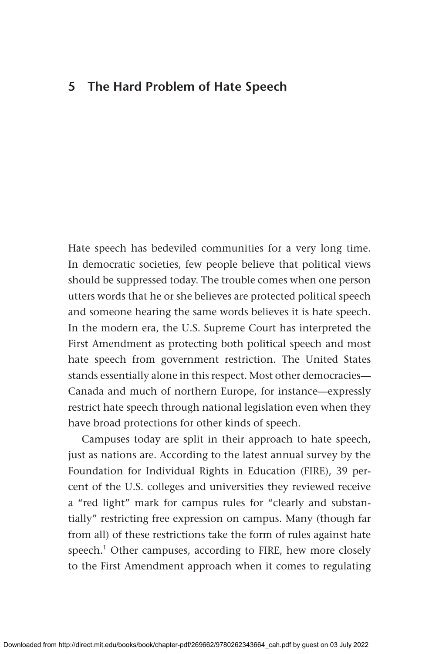## **5 The Hard Problem of Hate Speech**

Hate speech has bedeviled communities for a very long time. In democratic societies, few people believe that political views should be suppressed today. The trouble comes when one person utters words that he or she believes are protected political speech and someone hearing the same words believes it is hate speech. In the modern era, the U.S. Supreme Court has interpreted the First Amendment as protecting both political speech and most hate speech from government restriction. The United States stands essentially alone in this respect. Most other democracies— Canada and much of northern Europe, for instance—expressly restrict hate speech through national legislation even when they have broad protections for other kinds of speech.

Campuses today are split in their approach to hate speech, just as nations are. According to the latest annual survey by the Foundation for Individual Rights in Education (FIRE), 39 percent of the U.S. colleges and universities they reviewed receive a "red light" mark for campus rules for "clearly and substantially" restricting free expression on campus. Many (though far from all) of these restrictions take the form of rules against hate speech.<sup>1</sup> Other campuses, according to FIRE, hew more closely to the First Amendment approach when it comes to regulating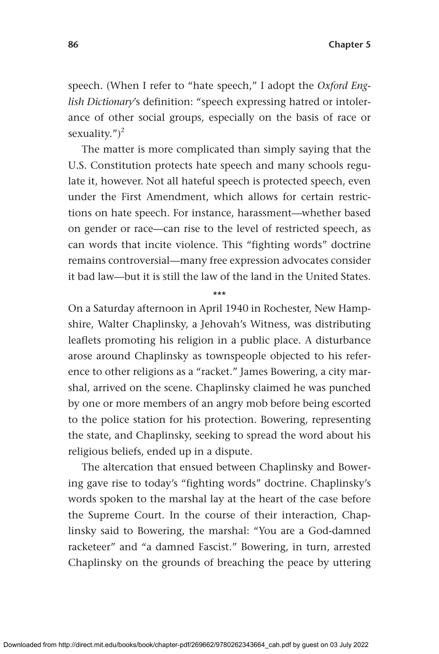speech. (When I refer to "hate speech," I adopt the *Oxford English Dictionary*'s definition: "speech expressing hatred or intolerance of other social groups, especially on the basis of race or sexuality. $y^2$ 

The matter is more complicated than simply saying that the U.S. Constitution protects hate speech and many schools regulate it, however. Not all hateful speech is protected speech, even under the First Amendment, which allows for certain restrictions on hate speech. For instance, harassment—whether based on gender or race—can rise to the level of restricted speech, as can words that incite violence. This "fighting words" doctrine remains controversial—many free expression advocates consider it bad law—but it is still the law of the land in the United States.

\*\*\*

On a Saturday afternoon in April 1940 in Rochester, New Hampshire, Walter Chaplinsky, a Jehovah's Witness, was distributing leaflets promoting his religion in a public place. A disturbance arose around Chaplinsky as townspeople objected to his reference to other religions as a "racket." James Bowering, a city marshal, arrived on the scene. Chaplinsky claimed he was punched by one or more members of an angry mob before being escorted to the police station for his protection. Bowering, representing the state, and Chaplinsky, seeking to spread the word about his religious beliefs, ended up in a dispute.

The altercation that ensued between Chaplinsky and Bowering gave rise to today's "fighting words" doctrine. Chaplinsky's words spoken to the marshal lay at the heart of the case before the Supreme Court. In the course of their interaction, Chaplinsky said to Bowering, the marshal: "You are a God-damned racketeer" and "a damned Fascist." Bowering, in turn, arrested Chaplinsky on the grounds of breaching the peace by uttering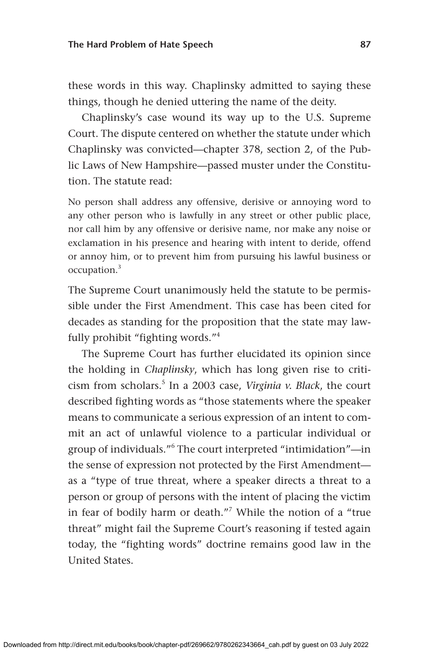these words in this way. Chaplinsky admitted to saying these things, though he denied uttering the name of the deity.

Chaplinsky's case wound its way up to the U.S. Supreme Court. The dispute centered on whether the statute under which Chaplinsky was convicted—chapter 378, section 2, of the Public Laws of New Hampshire—passed muster under the Constitution. The statute read:

No person shall address any offensive, derisive or annoying word to any other person who is lawfully in any street or other public place, nor call him by any offensive or derisive name, nor make any noise or exclamation in his presence and hearing with intent to deride, offend or annoy him, or to prevent him from pursuing his lawful business or occupation.3

The Supreme Court unanimously held the statute to be permissible under the First Amendment. This case has been cited for decades as standing for the proposition that the state may lawfully prohibit "fighting words."4

The Supreme Court has further elucidated its opinion since the holding in *Chaplinsky*, which has long given rise to criticism from scholars.5 In a 2003 case, *Virginia v. Black*, the court described fighting words as "those statements where the speaker means to communicate a serious expression of an intent to commit an act of unlawful violence to a particular individual or group of individuals."6 The court interpreted "intimidation"—in the sense of expression not protected by the First Amendment as a "type of true threat, where a speaker directs a threat to a person or group of persons with the intent of placing the victim in fear of bodily harm or death."7 While the notion of a "true threat" might fail the Supreme Court's reasoning if tested again today, the "fighting words" doctrine remains good law in the United States.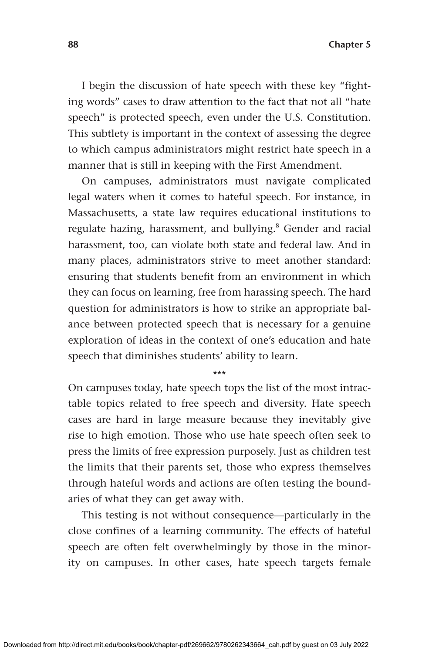I begin the discussion of hate speech with these key "fighting words" cases to draw attention to the fact that not all "hate speech" is protected speech, even under the U.S. Constitution. This subtlety is important in the context of assessing the degree to which campus administrators might restrict hate speech in a manner that is still in keeping with the First Amendment.

On campuses, administrators must navigate complicated legal waters when it comes to hateful speech. For instance, in Massachusetts, a state law requires educational institutions to regulate hazing, harassment, and bullying.<sup>8</sup> Gender and racial harassment, too, can violate both state and federal law. And in many places, administrators strive to meet another standard: ensuring that students benefit from an environment in which they can focus on learning, free from harassing speech. The hard question for administrators is how to strike an appropriate balance between protected speech that is necessary for a genuine exploration of ideas in the context of one's education and hate speech that diminishes students' ability to learn.

\*\*\*

On campuses today, hate speech tops the list of the most intractable topics related to free speech and diversity. Hate speech cases are hard in large measure because they inevitably give rise to high emotion. Those who use hate speech often seek to press the limits of free expression purposely. Just as children test the limits that their parents set, those who express themselves through hateful words and actions are often testing the boundaries of what they can get away with.

This testing is not without consequence—particularly in the close confines of a learning community. The effects of hateful speech are often felt overwhelmingly by those in the minority on campuses. In other cases, hate speech targets female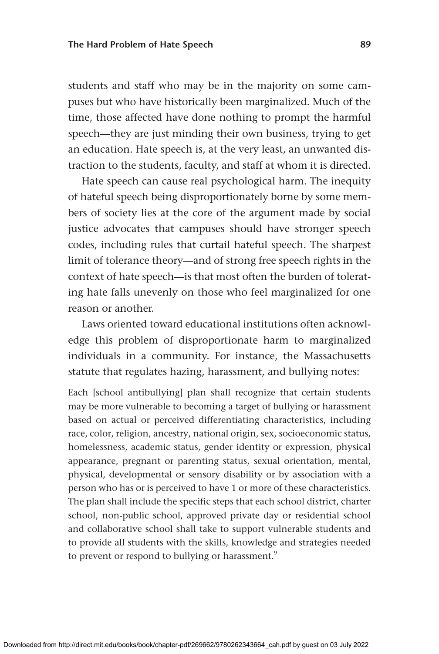students and staff who may be in the majority on some campuses but who have historically been marginalized. Much of the time, those affected have done nothing to prompt the harmful speech—they are just minding their own business, trying to get an education. Hate speech is, at the very least, an unwanted distraction to the students, faculty, and staff at whom it is directed.

Hate speech can cause real psychological harm. The inequity of hateful speech being disproportionately borne by some members of society lies at the core of the argument made by social justice advocates that campuses should have stronger speech codes, including rules that curtail hateful speech. The sharpest limit of tolerance theory—and of strong free speech rights in the context of hate speech—is that most often the burden of tolerating hate falls unevenly on those who feel marginalized for one reason or another.

Laws oriented toward educational institutions often acknowledge this problem of disproportionate harm to marginalized individuals in a community. For instance, the Massachusetts statute that regulates hazing, harassment, and bullying notes:

Each [school antibullying] plan shall recognize that certain students may be more vulnerable to becoming a target of bullying or harassment based on actual or perceived differentiating characteristics, including race, color, religion, ancestry, national origin, sex, socioeconomic status, homelessness, academic status, gender identity or expression, physical appearance, pregnant or parenting status, sexual orientation, mental, physical, developmental or sensory disability or by association with a person who has or is perceived to have 1 or more of these characteristics. The plan shall include the specific steps that each school district, charter school, non-public school, approved private day or residential school and collaborative school shall take to support vulnerable students and to provide all students with the skills, knowledge and strategies needed to prevent or respond to bullying or harassment.<sup>9</sup>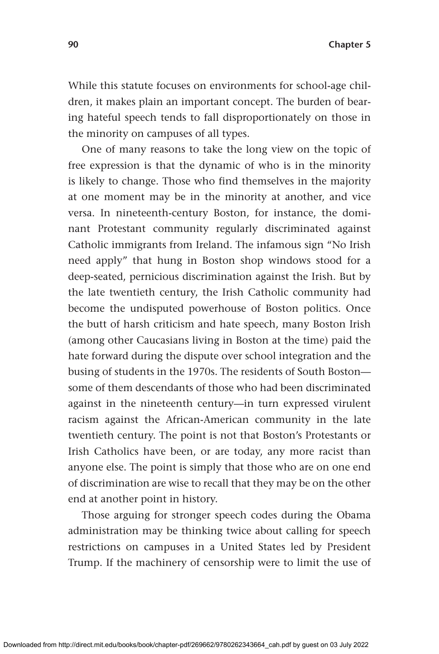While this statute focuses on environments for school-age children, it makes plain an important concept. The burden of bearing hateful speech tends to fall disproportionately on those in the minority on campuses of all types.

One of many reasons to take the long view on the topic of free expression is that the dynamic of who is in the minority is likely to change. Those who find themselves in the majority at one moment may be in the minority at another, and vice versa. In nineteenth-century Boston, for instance, the dominant Protestant community regularly discriminated against Catholic immigrants from Ireland. The infamous sign "No Irish need apply" that hung in Boston shop windows stood for a deep-seated, pernicious discrimination against the Irish. But by the late twentieth century, the Irish Catholic community had become the undisputed powerhouse of Boston politics. Once the butt of harsh criticism and hate speech, many Boston Irish (among other Caucasians living in Boston at the time) paid the hate forward during the dispute over school integration and the busing of students in the 1970s. The residents of South Boston some of them descendants of those who had been discriminated against in the nineteenth century—in turn expressed virulent racism against the African-American community in the late twentieth century. The point is not that Boston's Protestants or Irish Catholics have been, or are today, any more racist than anyone else. The point is simply that those who are on one end of discrimination are wise to recall that they may be on the other end at another point in history.

Those arguing for stronger speech codes during the Obama administration may be thinking twice about calling for speech restrictions on campuses in a United States led by President Trump. If the machinery of censorship were to limit the use of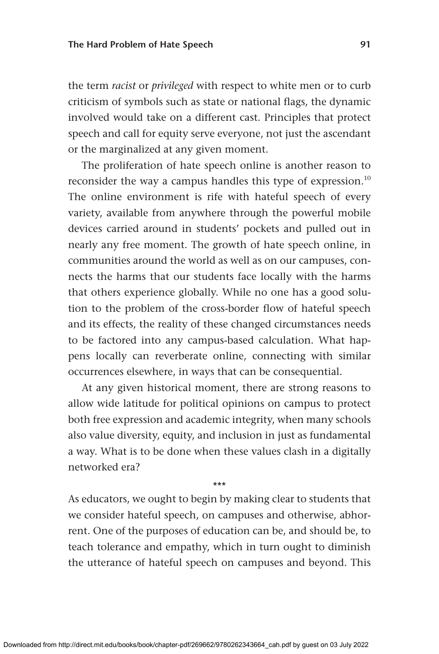the term *racist* or *privileged* with respect to white men or to curb criticism of symbols such as state or national flags, the dynamic involved would take on a different cast. Principles that protect speech and call for equity serve everyone, not just the ascendant or the marginalized at any given moment.

The proliferation of hate speech online is another reason to reconsider the way a campus handles this type of expression.<sup>10</sup> The online environment is rife with hateful speech of every variety, available from anywhere through the powerful mobile devices carried around in students' pockets and pulled out in nearly any free moment. The growth of hate speech online, in communities around the world as well as on our campuses, connects the harms that our students face locally with the harms that others experience globally. While no one has a good solution to the problem of the cross-border flow of hateful speech and its effects, the reality of these changed circumstances needs to be factored into any campus-based calculation. What happens locally can reverberate online, connecting with similar occurrences elsewhere, in ways that can be consequential.

At any given historical moment, there are strong reasons to allow wide latitude for political opinions on campus to protect both free expression and academic integrity, when many schools also value diversity, equity, and inclusion in just as fundamental a way. What is to be done when these values clash in a digitally networked era?

As educators, we ought to begin by making clear to students that we consider hateful speech, on campuses and otherwise, abhorrent. One of the purposes of education can be, and should be, to teach tolerance and empathy, which in turn ought to diminish the utterance of hateful speech on campuses and beyond. This

\*\*\*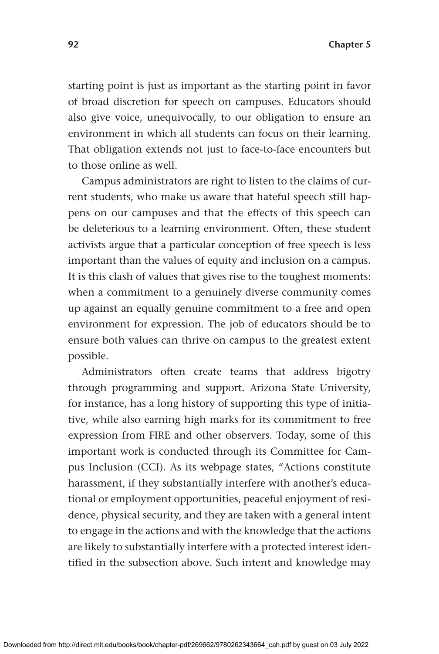starting point is just as important as the starting point in favor of broad discretion for speech on campuses. Educators should also give voice, unequivocally, to our obligation to ensure an environment in which all students can focus on their learning. That obligation extends not just to face-to-face encounters but to those online as well.

Campus administrators are right to listen to the claims of current students, who make us aware that hateful speech still happens on our campuses and that the effects of this speech can be deleterious to a learning environment. Often, these student activists argue that a particular conception of free speech is less important than the values of equity and inclusion on a campus. It is this clash of values that gives rise to the toughest moments: when a commitment to a genuinely diverse community comes up against an equally genuine commitment to a free and open environment for expression. The job of educators should be to ensure both values can thrive on campus to the greatest extent possible.

Administrators often create teams that address bigotry through programming and support. Arizona State University, for instance, has a long history of supporting this type of initiative, while also earning high marks for its commitment to free expression from FIRE and other observers. Today, some of this important work is conducted through its Committee for Campus Inclusion (CCI). As its webpage states, "Actions constitute harassment, if they substantially interfere with another's educational or employment opportunities, peaceful enjoyment of residence, physical security, and they are taken with a general intent to engage in the actions and with the knowledge that the actions are likely to substantially interfere with a protected interest identified in the subsection above. Such intent and knowledge may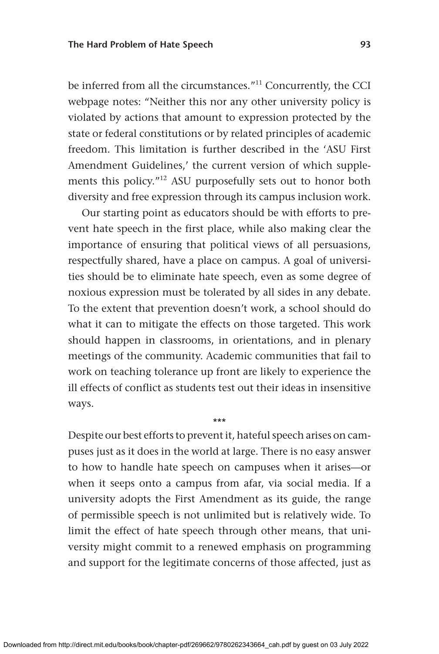be inferred from all the circumstances."<sup>11</sup> Concurrently, the CCI webpage notes: "Neither this nor any other university policy is violated by actions that amount to expression protected by the state or federal constitutions or by related principles of academic freedom. This limitation is further described in the 'ASU First Amendment Guidelines,' the current version of which supplements this policy."12 ASU purposefully sets out to honor both diversity and free expression through its campus inclusion work.

Our starting point as educators should be with efforts to prevent hate speech in the first place, while also making clear the importance of ensuring that political views of all persuasions, respectfully shared, have a place on campus. A goal of universities should be to eliminate hate speech, even as some degree of noxious expression must be tolerated by all sides in any debate. To the extent that prevention doesn't work, a school should do what it can to mitigate the effects on those targeted. This work should happen in classrooms, in orientations, and in plenary meetings of the community. Academic communities that fail to work on teaching tolerance up front are likely to experience the ill effects of conflict as students test out their ideas in insensitive ways.

Despite our best efforts to prevent it, hateful speech arises on campuses just as it does in the world at large. There is no easy answer to how to handle hate speech on campuses when it arises—or when it seeps onto a campus from afar, via social media. If a university adopts the First Amendment as its guide, the range of permissible speech is not unlimited but is relatively wide. To limit the effect of hate speech through other means, that university might commit to a renewed emphasis on programming and support for the legitimate concerns of those affected, just as

\*\*\*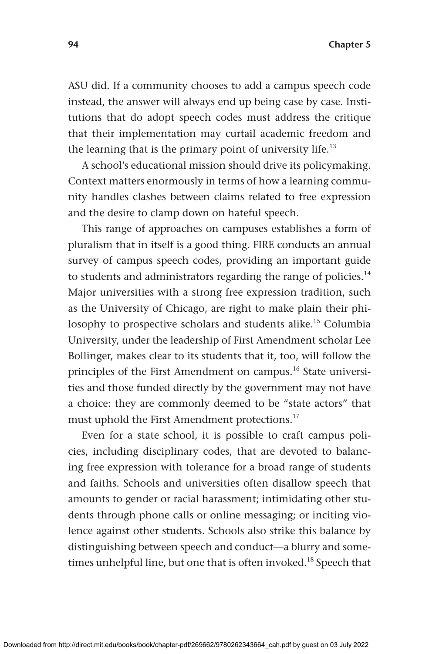ASU did. If a community chooses to add a campus speech code instead, the answer will always end up being case by case. Institutions that do adopt speech codes must address the critique that their implementation may curtail academic freedom and the learning that is the primary point of university life. $13$ 

A school's educational mission should drive its policymaking. Context matters enormously in terms of how a learning community handles clashes between claims related to free expression and the desire to clamp down on hateful speech.

This range of approaches on campuses establishes a form of pluralism that in itself is a good thing. FIRE conducts an annual survey of campus speech codes, providing an important guide to students and administrators regarding the range of policies. $14$ Major universities with a strong free expression tradition, such as the University of Chicago, are right to make plain their philosophy to prospective scholars and students alike.<sup>15</sup> Columbia University, under the leadership of First Amendment scholar Lee Bollinger, makes clear to its students that it, too, will follow the principles of the First Amendment on campus.<sup>16</sup> State universities and those funded directly by the government may not have a choice: they are commonly deemed to be "state actors" that must uphold the First Amendment protections.<sup>17</sup>

Even for a state school, it is possible to craft campus policies, including disciplinary codes, that are devoted to balancing free expression with tolerance for a broad range of students and faiths. Schools and universities often disallow speech that amounts to gender or racial harassment; intimidating other students through phone calls or online messaging; or inciting violence against other students. Schools also strike this balance by distinguishing between speech and conduct—a blurry and sometimes unhelpful line, but one that is often invoked.<sup>18</sup> Speech that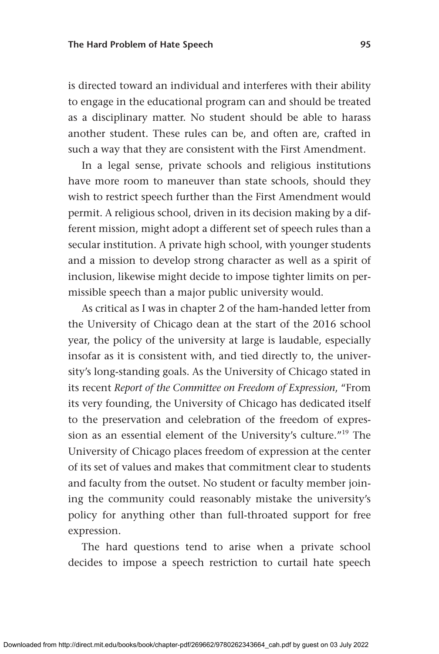is directed toward an individual and interferes with their ability to engage in the educational program can and should be treated as a disciplinary matter. No student should be able to harass another student. These rules can be, and often are, crafted in such a way that they are consistent with the First Amendment.

In a legal sense, private schools and religious institutions have more room to maneuver than state schools, should they wish to restrict speech further than the First Amendment would permit. A religious school, driven in its decision making by a different mission, might adopt a different set of speech rules than a secular institution. A private high school, with younger students and a mission to develop strong character as well as a spirit of inclusion, likewise might decide to impose tighter limits on permissible speech than a major public university would.

As critical as I was in chapter 2 of the ham-handed letter from the University of Chicago dean at the start of the 2016 school year, the policy of the university at large is laudable, especially insofar as it is consistent with, and tied directly to, the university's long-standing goals. As the University of Chicago stated in its recent *Report of the Committee on Freedom of Expression*, "From its very founding, the University of Chicago has dedicated itself to the preservation and celebration of the freedom of expression as an essential element of the University's culture."19 The University of Chicago places freedom of expression at the center of its set of values and makes that commitment clear to students and faculty from the outset. No student or faculty member joining the community could reasonably mistake the university's policy for anything other than full-throated support for free expression.

The hard questions tend to arise when a private school decides to impose a speech restriction to curtail hate speech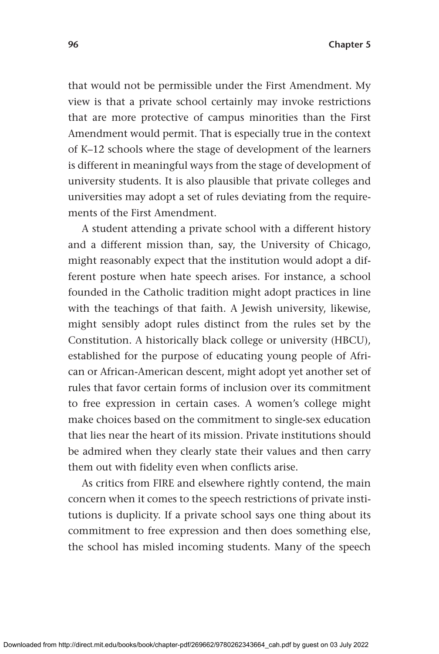that would not be permissible under the First Amendment. My view is that a private school certainly may invoke restrictions that are more protective of campus minorities than the First Amendment would permit. That is especially true in the context of K–12 schools where the stage of development of the learners is different in meaningful ways from the stage of development of university students. It is also plausible that private colleges and universities may adopt a set of rules deviating from the requirements of the First Amendment.

A student attending a private school with a different history and a different mission than, say, the University of Chicago, might reasonably expect that the institution would adopt a different posture when hate speech arises. For instance, a school founded in the Catholic tradition might adopt practices in line with the teachings of that faith. A Jewish university, likewise, might sensibly adopt rules distinct from the rules set by the Constitution. A historically black college or university (HBCU), established for the purpose of educating young people of African or African-American descent, might adopt yet another set of rules that favor certain forms of inclusion over its commitment to free expression in certain cases. A women's college might make choices based on the commitment to single-sex education that lies near the heart of its mission. Private institutions should be admired when they clearly state their values and then carry them out with fidelity even when conflicts arise.

As critics from FIRE and elsewhere rightly contend, the main concern when it comes to the speech restrictions of private institutions is duplicity. If a private school says one thing about its commitment to free expression and then does something else, the school has misled incoming students. Many of the speech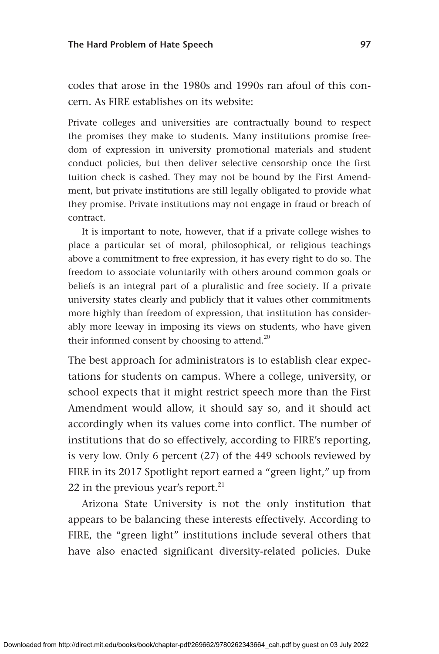codes that arose in the 1980s and 1990s ran afoul of this concern. As FIRE establishes on its website:

Private colleges and universities are contractually bound to respect the promises they make to students. Many institutions promise freedom of expression in university promotional materials and student conduct policies, but then deliver selective censorship once the first tuition check is cashed. They may not be bound by the First Amendment, but private institutions are still legally obligated to provide what they promise. Private institutions may not engage in fraud or breach of contract.

It is important to note, however, that if a private college wishes to place a particular set of moral, philosophical, or religious teachings above a commitment to free expression, it has every right to do so. The freedom to associate voluntarily with others around common goals or beliefs is an integral part of a pluralistic and free society. If a private university states clearly and publicly that it values other commitments more highly than freedom of expression, that institution has considerably more leeway in imposing its views on students, who have given their informed consent by choosing to attend.<sup>20</sup>

The best approach for administrators is to establish clear expectations for students on campus. Where a college, university, or school expects that it might restrict speech more than the First Amendment would allow, it should say so, and it should act accordingly when its values come into conflict. The number of institutions that do so effectively, according to FIRE's reporting, is very low. Only 6 percent (27) of the 449 schools reviewed by FIRE in its 2017 Spotlight report earned a "green light," up from 22 in the previous year's report. $^{21}$ 

Arizona State University is not the only institution that appears to be balancing these interests effectively. According to FIRE, the "green light" institutions include several others that have also enacted significant diversity-related policies. Duke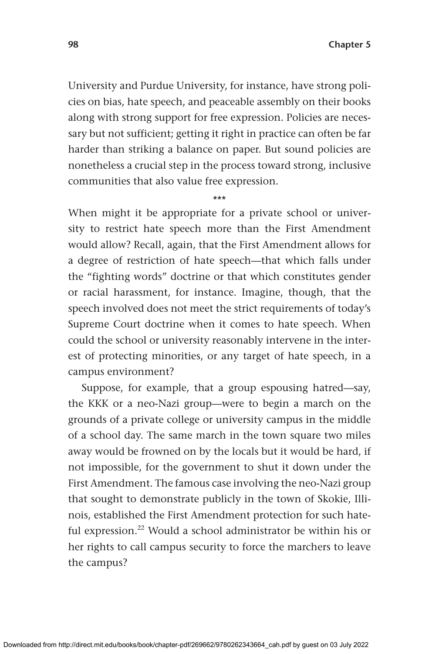University and Purdue University, for instance, have strong policies on bias, hate speech, and peaceable assembly on their books along with strong support for free expression. Policies are necessary but not sufficient; getting it right in practice can often be far harder than striking a balance on paper. But sound policies are nonetheless a crucial step in the process toward strong, inclusive communities that also value free expression.

\*\*\*

When might it be appropriate for a private school or university to restrict hate speech more than the First Amendment would allow? Recall, again, that the First Amendment allows for a degree of restriction of hate speech—that which falls under the "fighting words" doctrine or that which constitutes gender or racial harassment, for instance. Imagine, though, that the speech involved does not meet the strict requirements of today's Supreme Court doctrine when it comes to hate speech. When could the school or university reasonably intervene in the interest of protecting minorities, or any target of hate speech, in a campus environment?

Suppose, for example, that a group espousing hatred—say, the KKK or a neo-Nazi group—were to begin a march on the grounds of a private college or university campus in the middle of a school day. The same march in the town square two miles away would be frowned on by the locals but it would be hard, if not impossible, for the government to shut it down under the First Amendment. The famous case involving the neo-Nazi group that sought to demonstrate publicly in the town of Skokie, Illinois, established the First Amendment protection for such hateful expression.<sup>22</sup> Would a school administrator be within his or her rights to call campus security to force the marchers to leave the campus?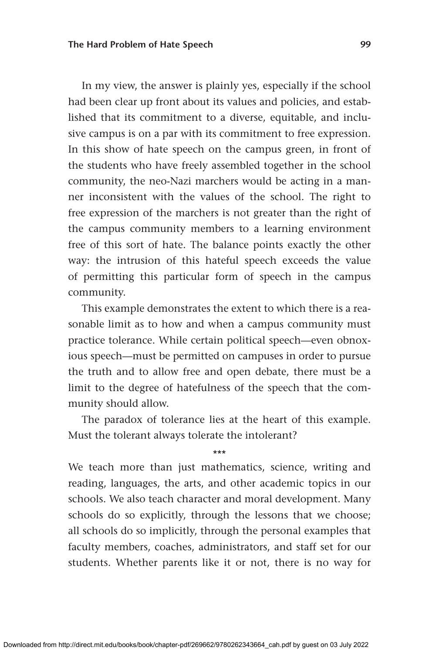In my view, the answer is plainly yes, especially if the school had been clear up front about its values and policies, and established that its commitment to a diverse, equitable, and inclusive campus is on a par with its commitment to free expression. In this show of hate speech on the campus green, in front of the students who have freely assembled together in the school community, the neo-Nazi marchers would be acting in a manner inconsistent with the values of the school. The right to free expression of the marchers is not greater than the right of the campus community members to a learning environment free of this sort of hate. The balance points exactly the other way: the intrusion of this hateful speech exceeds the value of permitting this particular form of speech in the campus community.

This example demonstrates the extent to which there is a reasonable limit as to how and when a campus community must practice tolerance. While certain political speech—even obnoxious speech—must be permitted on campuses in order to pursue the truth and to allow free and open debate, there must be a limit to the degree of hatefulness of the speech that the community should allow.

The paradox of tolerance lies at the heart of this example. Must the tolerant always tolerate the intolerant?

\*\*\*

We teach more than just mathematics, science, writing and reading, languages, the arts, and other academic topics in our schools. We also teach character and moral development. Many schools do so explicitly, through the lessons that we choose; all schools do so implicitly, through the personal examples that faculty members, coaches, administrators, and staff set for our students. Whether parents like it or not, there is no way for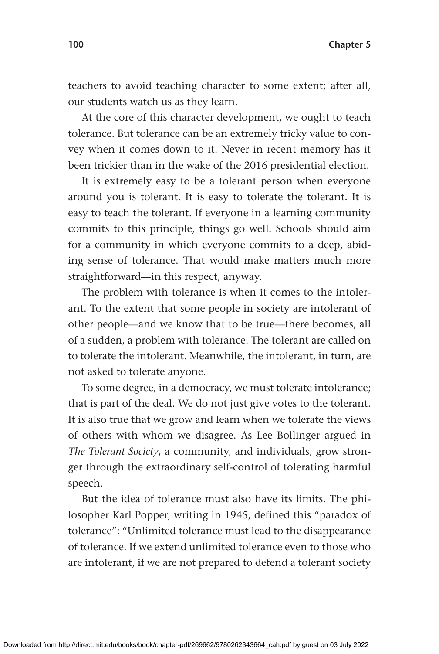teachers to avoid teaching character to some extent; after all, our students watch us as they learn.

At the core of this character development, we ought to teach tolerance. But tolerance can be an extremely tricky value to convey when it comes down to it. Never in recent memory has it been trickier than in the wake of the 2016 presidential election.

It is extremely easy to be a tolerant person when everyone around you is tolerant. It is easy to tolerate the tolerant. It is easy to teach the tolerant. If everyone in a learning community commits to this principle, things go well. Schools should aim for a community in which everyone commits to a deep, abiding sense of tolerance. That would make matters much more straightforward—in this respect, anyway.

The problem with tolerance is when it comes to the intolerant. To the extent that some people in society are intolerant of other people—and we know that to be true—there becomes, all of a sudden, a problem with tolerance. The tolerant are called on to tolerate the intolerant. Meanwhile, the intolerant, in turn, are not asked to tolerate anyone.

To some degree, in a democracy, we must tolerate intolerance; that is part of the deal. We do not just give votes to the tolerant. It is also true that we grow and learn when we tolerate the views of others with whom we disagree. As Lee Bollinger argued in *The Tolerant Society*, a community, and individuals, grow stronger through the extraordinary self-control of tolerating harmful speech.

But the idea of tolerance must also have its limits. The philosopher Karl Popper, writing in 1945, defined this "paradox of tolerance": "Unlimited tolerance must lead to the disappearance of tolerance. If we extend unlimited tolerance even to those who are intolerant, if we are not prepared to defend a tolerant society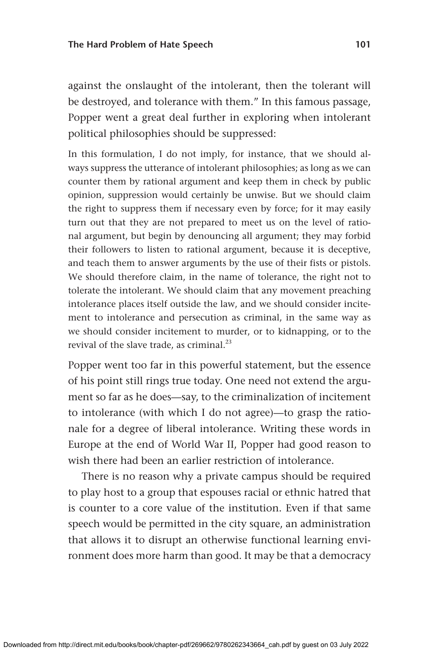against the onslaught of the intolerant, then the tolerant will be destroyed, and tolerance with them." In this famous passage, Popper went a great deal further in exploring when intolerant political philosophies should be suppressed:

In this formulation, I do not imply, for instance, that we should always suppress the utterance of intolerant philosophies; as long as we can counter them by rational argument and keep them in check by public opinion, suppression would certainly be unwise. But we should claim the right to suppress them if necessary even by force; for it may easily turn out that they are not prepared to meet us on the level of rational argument, but begin by denouncing all argument; they may forbid their followers to listen to rational argument, because it is deceptive, and teach them to answer arguments by the use of their fists or pistols. We should therefore claim, in the name of tolerance, the right not to tolerate the intolerant. We should claim that any movement preaching intolerance places itself outside the law, and we should consider incitement to intolerance and persecution as criminal, in the same way as we should consider incitement to murder, or to kidnapping, or to the revival of the slave trade, as criminal.<sup>23</sup>

Popper went too far in this powerful statement, but the essence of his point still rings true today. One need not extend the argument so far as he does—say, to the criminalization of incitement to intolerance (with which I do not agree)—to grasp the rationale for a degree of liberal intolerance. Writing these words in Europe at the end of World War II, Popper had good reason to wish there had been an earlier restriction of intolerance.

There is no reason why a private campus should be required to play host to a group that espouses racial or ethnic hatred that is counter to a core value of the institution. Even if that same speech would be permitted in the city square, an administration that allows it to disrupt an otherwise functional learning environment does more harm than good. It may be that a democracy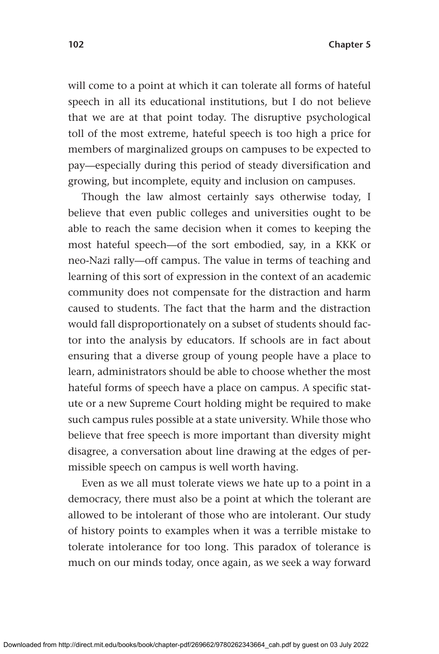will come to a point at which it can tolerate all forms of hateful speech in all its educational institutions, but I do not believe that we are at that point today. The disruptive psychological toll of the most extreme, hateful speech is too high a price for members of marginalized groups on campuses to be expected to pay—especially during this period of steady diversification and growing, but incomplete, equity and inclusion on campuses.

Though the law almost certainly says otherwise today, I believe that even public colleges and universities ought to be able to reach the same decision when it comes to keeping the most hateful speech—of the sort embodied, say, in a KKK or neo-Nazi rally—off campus. The value in terms of teaching and learning of this sort of expression in the context of an academic community does not compensate for the distraction and harm caused to students. The fact that the harm and the distraction would fall disproportionately on a subset of students should factor into the analysis by educators. If schools are in fact about ensuring that a diverse group of young people have a place to learn, administrators should be able to choose whether the most hateful forms of speech have a place on campus. A specific statute or a new Supreme Court holding might be required to make such campus rules possible at a state university. While those who believe that free speech is more important than diversity might disagree, a conversation about line drawing at the edges of permissible speech on campus is well worth having.

Even as we all must tolerate views we hate up to a point in a democracy, there must also be a point at which the tolerant are allowed to be intolerant of those who are intolerant. Our study of history points to examples when it was a terrible mistake to tolerate intolerance for too long. This paradox of tolerance is much on our minds today, once again, as we seek a way forward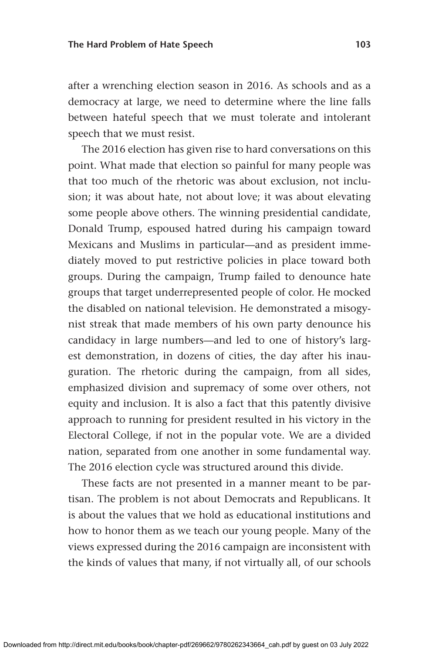after a wrenching election season in 2016. As schools and as a democracy at large, we need to determine where the line falls between hateful speech that we must tolerate and intolerant speech that we must resist.

The 2016 election has given rise to hard conversations on this point. What made that election so painful for many people was that too much of the rhetoric was about exclusion, not inclusion; it was about hate, not about love; it was about elevating some people above others. The winning presidential candidate, Donald Trump, espoused hatred during his campaign toward Mexicans and Muslims in particular—and as president immediately moved to put restrictive policies in place toward both groups. During the campaign, Trump failed to denounce hate groups that target underrepresented people of color. He mocked the disabled on national television. He demonstrated a misogynist streak that made members of his own party denounce his candidacy in large numbers—and led to one of history's largest demonstration, in dozens of cities, the day after his inauguration. The rhetoric during the campaign, from all sides, emphasized division and supremacy of some over others, not equity and inclusion. It is also a fact that this patently divisive approach to running for president resulted in his victory in the Electoral College, if not in the popular vote. We are a divided nation, separated from one another in some fundamental way. The 2016 election cycle was structured around this divide.

These facts are not presented in a manner meant to be partisan. The problem is not about Democrats and Republicans. It is about the values that we hold as educational institutions and how to honor them as we teach our young people. Many of the views expressed during the 2016 campaign are inconsistent with the kinds of values that many, if not virtually all, of our schools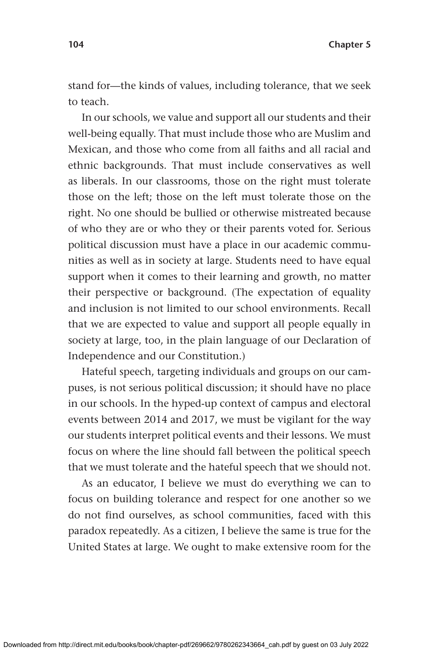stand for—the kinds of values, including tolerance, that we seek to teach.

In our schools, we value and support all our students and their well-being equally. That must include those who are Muslim and Mexican, and those who come from all faiths and all racial and ethnic backgrounds. That must include conservatives as well as liberals. In our classrooms, those on the right must tolerate those on the left; those on the left must tolerate those on the right. No one should be bullied or otherwise mistreated because of who they are or who they or their parents voted for. Serious political discussion must have a place in our academic communities as well as in society at large. Students need to have equal support when it comes to their learning and growth, no matter their perspective or background. (The expectation of equality and inclusion is not limited to our school environments. Recall that we are expected to value and support all people equally in society at large, too, in the plain language of our Declaration of Independence and our Constitution.)

Hateful speech, targeting individuals and groups on our campuses, is not serious political discussion; it should have no place in our schools. In the hyped-up context of campus and electoral events between 2014 and 2017, we must be vigilant for the way our students interpret political events and their lessons. We must focus on where the line should fall between the political speech that we must tolerate and the hateful speech that we should not.

As an educator, I believe we must do everything we can to focus on building tolerance and respect for one another so we do not find ourselves, as school communities, faced with this paradox repeatedly. As a citizen, I believe the same is true for the United States at large. We ought to make extensive room for the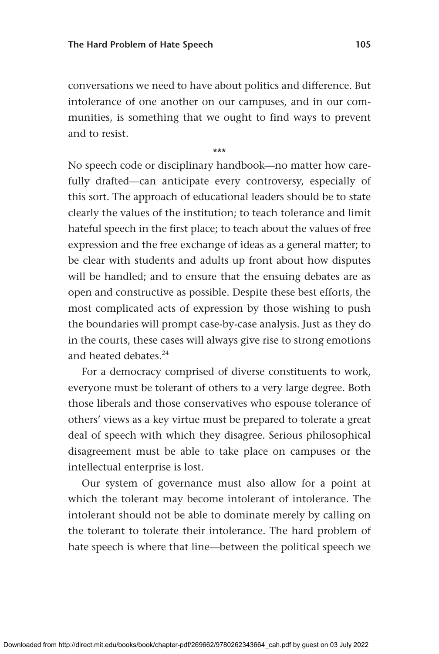conversations we need to have about politics and difference. But intolerance of one another on our campuses, and in our communities, is something that we ought to find ways to prevent and to resist.

\*\*\*

No speech code or disciplinary handbook—no matter how carefully drafted—can anticipate every controversy, especially of this sort. The approach of educational leaders should be to state clearly the values of the institution; to teach tolerance and limit hateful speech in the first place; to teach about the values of free expression and the free exchange of ideas as a general matter; to be clear with students and adults up front about how disputes will be handled; and to ensure that the ensuing debates are as open and constructive as possible. Despite these best efforts, the most complicated acts of expression by those wishing to push the boundaries will prompt case-by-case analysis. Just as they do in the courts, these cases will always give rise to strong emotions and heated debates.<sup>24</sup>

For a democracy comprised of diverse constituents to work, everyone must be tolerant of others to a very large degree. Both those liberals and those conservatives who espouse tolerance of others' views as a key virtue must be prepared to tolerate a great deal of speech with which they disagree. Serious philosophical disagreement must be able to take place on campuses or the intellectual enterprise is lost.

Our system of governance must also allow for a point at which the tolerant may become intolerant of intolerance. The intolerant should not be able to dominate merely by calling on the tolerant to tolerate their intolerance. The hard problem of hate speech is where that line—between the political speech we